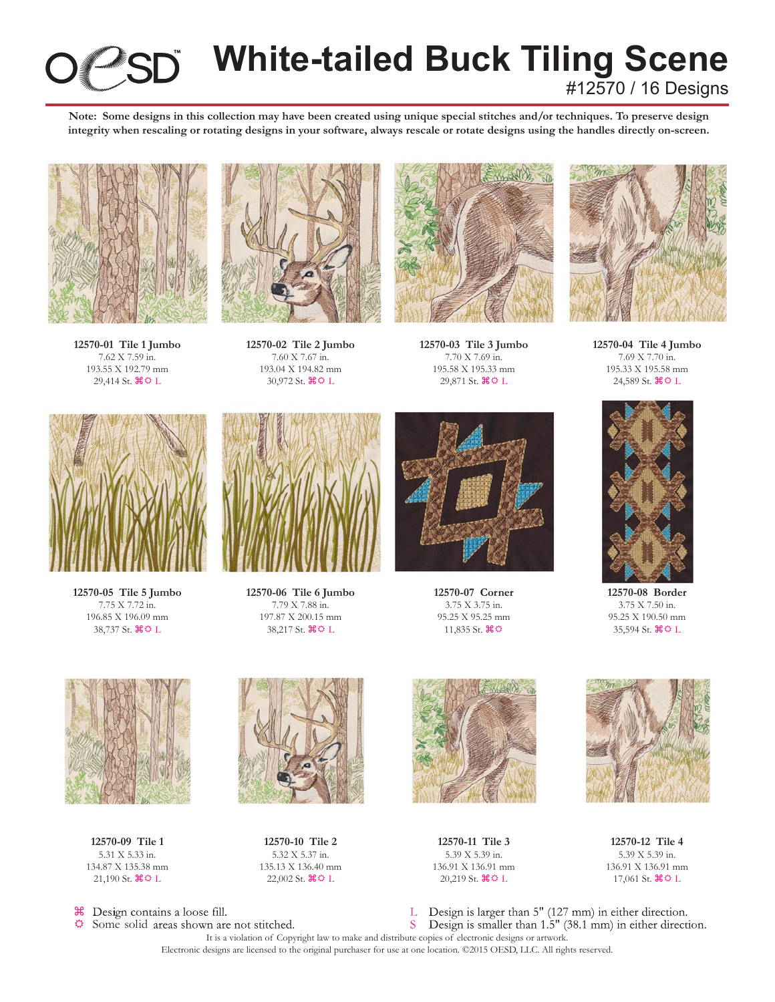

# **White-tailed Buck Tiling Scene** #12570 / 16 Designs

**Note: Some designs in this collection may have been created using unique special stitches and/or techniques. To preserve design integrity when rescaling or rotating designs in your software, always rescale or rotate designs using the handles directly on-screen.**



**12570-01 Tile 1 Jumbo** 7.62 X 7.59 in. 193.55 X 192.79 mm 29,414 St.  $\mathcal{H} \oplus L$ 



**12570-02 Tile 2 Jumbo** 7.60 X 7.67 in. 193.04 X 194.82 mm 30,972 St.  $\mathcal{H} \oplus L$ 



**12570-03 Tile 3 Jumbo** 7.70 X 7.69 in. 195.58 X 195.33 mm 29,871 St.  $\mathcal{H} \circ L$ 



**12570-04 Tile 4 Jumbo** 7.69 X 7.70 in. 195.33 X 195.58 mm 24,589 St.  $\mathcal{H} \oplus L$ 



**12570-05 Tile 5 Jumbo** 7.75 X 7.72 in. 196.85 X 196.09 mm 38,737 St.  $\mathcal{H} \Phi L$ 



**12570-06 Tile 6 Jumbo** 7.79 X 7.88 in. 197.87 X 200.15 mm 38,217 St.  $\mathcal{H} \circ L$ 



**12570-07 Corner** 3.75 X 3.75 in. 95.25 X 95.25 mm 11,835 St.  $\mathcal{H} \Phi$ 



**12570-08 Border** 3.75 X 7.50 in. 95.25 X 190.50 mm 35,594 St.  $\mathcal{H} \circ L$ 



**12570-09 Tile 1** 5.31 X 5.33 in. 134.87 X 135.38 mm 21,190 St.  $\mathcal{H} \circ L$ 



Ö. Some solid areas shown are not stitched.



**12570-10 Tile 2** 5.32 X 5.37 in. 135.13 X 136.40 mm 22,002 St.  $\mathcal{H} \Omega$  L



**12570-11 Tile 3** 5.39 X 5.39 in. 136.91 X 136.91 mm 20,219 St.  $\mathcal{H} \circ L$ 



**12570-12 Tile 4** 5.39 X 5.39 in. 136.91 X 136.91 mm 17,061 St.  $\mathcal{H} \circ L$ 

Design is larger than 5" (127 mm) in either direction. T.  $S$ Design is smaller than 1.5" (38.1 mm) in either direction.

It is a violation of Copyright law to make and distribute copies of electronic designs or artwork. Electronic designs are licensed to the original purchaser for use at one location. ©2015 OESD, LLC. All rights reserved.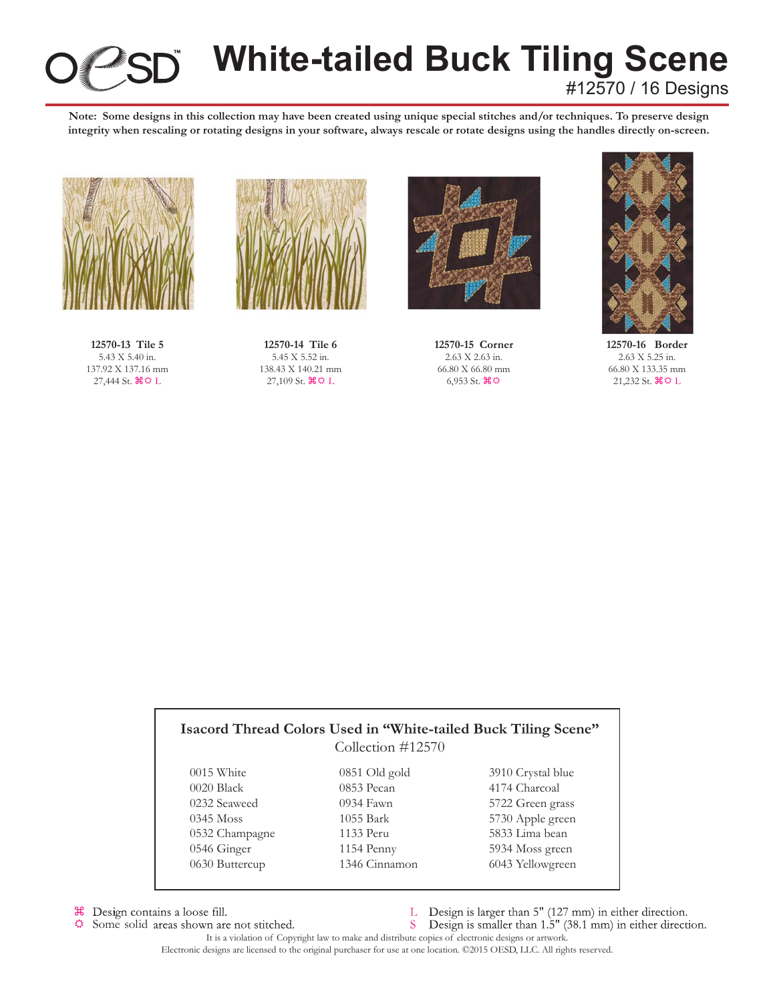

# **White-tailed Buck Tiling Scene** #12570 / 16 Designs

**Note: Some designs in this collection may have been created using unique special stitches and/or techniques. To preserve design integrity when rescaling or rotating designs in your software, always rescale or rotate designs using the handles directly on-screen.**



**12570-13 Tile 5** 5.43 X 5.40 in. 137.92 X 137.16 mm  $27,444$  St.  $\mathcal{H} \oplus L$ 



**12570-14 Tile 6** 5.45 X 5.52 in. 138.43 X 140.21 mm  $27,109$  St.  $\text{R} \ddot{\text{o}}$  L



**12570-15 Corner** 2.63 X 2.63 in. 66.80 X 66.80 mm  $6,953$  St.  $\mathcal{H} \mathfrak{D}$ 



**12570-16 Border** 2.63 X 5.25 in. 66.80 X 133.35 mm  $21,232$  St.  $\mathcal{H} \oplus L$ 

|                | Collection #12570 |                   |
|----------------|-------------------|-------------------|
| 0015 White     | $0851$ Old gold   | 3910 Crystal blue |
| 0020 Black     | 0853 Pecan        | 4174 Charcoal     |
| 0232 Seaweed   | 0934 Fawn         | 5722 Green grass  |
| $0345$ Moss    | 1055 Bark         | 5730 Apple green  |
| 0532 Champagne | 1133 Peru         | 5833 Lima bean    |
| 0546 Ginger    | 1154 Penny        | 5934 Moss green   |
| 0630 Buttercup | 1346 Cinnamon     | 6043 Yellowgreen  |

<sup>36</sup> Design contains a loose fill.  $\ddot{\mathbf{Q}}$ 

- Some solid areas shown are not stitched.
- L Design is larger than 5" (127 mm) in either direction.
- S Design is smaller than 1.5" (38.1 mm) in either direction.

It is a violation of Copyright law to make and distribute copies of electronic designs or artwork. Electronic designs are licensed to the original purchaser for use at one location. ©2015 OESD, LLC. All rights reserved.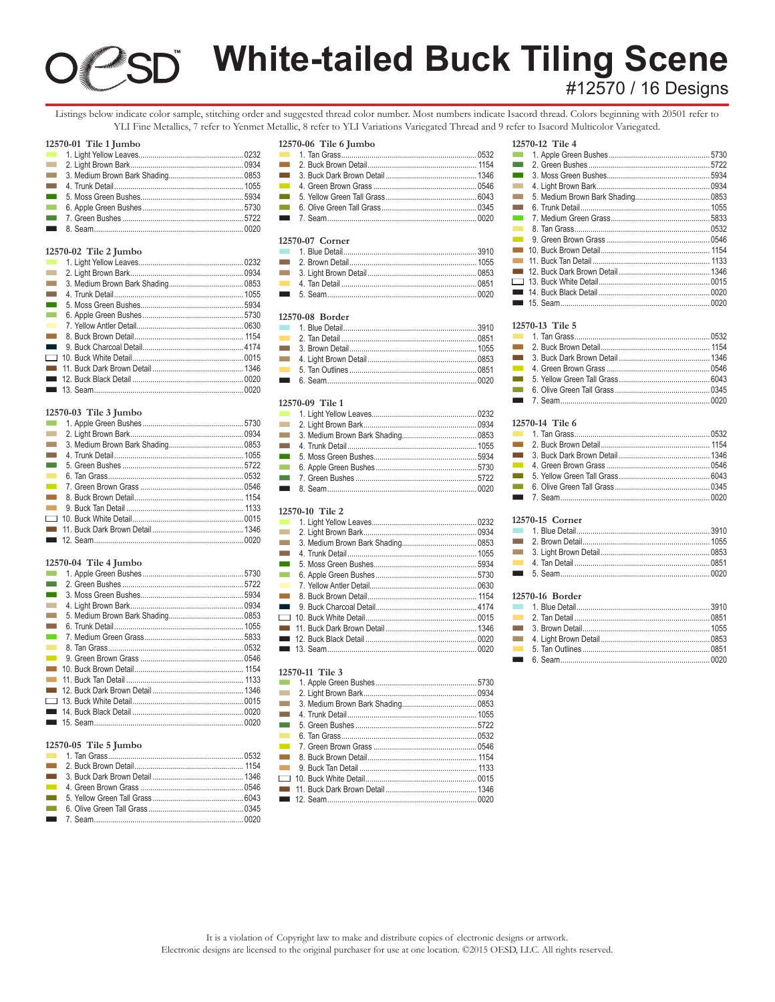# **White-tailed Buck Tiling Scene**

# #12570 / 16 Designs

Listings below indicate color sample, stitching order and suggested thread color number. Most numbers indicate Isacord thread. Colors beginning with 20501 refer to YLI Fine Metallics, 7 refer to Yenmet Metallic, 8 refer to YLI Variations Variegated Thread and 9 refer to Isacord Multicolor Variegated.

# 12570-01 Tile 1 Jumbo

| a an            |  |
|-----------------|--|
| a an            |  |
| man.            |  |
| T.              |  |
| $\sim$          |  |
| $\sim$ 10 $\pm$ |  |
|                 |  |
|                 |  |

### 12570-02 Tile 2 Jumbo

| <b>Contract</b>  |                        |      |
|------------------|------------------------|------|
| <b>Talling</b>   |                        |      |
| <b>College</b>   |                        |      |
| <b>The State</b> |                        |      |
| <b>The State</b> |                        |      |
| <b>I</b>         |                        |      |
| <b>COL</b>       |                        |      |
| $\sim 10$        |                        |      |
|                  |                        |      |
|                  |                        |      |
|                  |                        |      |
|                  |                        |      |
|                  | $\blacksquare$ 13 Saam | nnon |

### 12570-03 Tile 3 Jumbo

| $\sim 10$      |  |
|----------------|--|
| <b>College</b> |  |
| <b>Tara</b>    |  |
| <b>Tara</b>    |  |
| <b>College</b> |  |
| $\mathbf{r}$   |  |
| $\sim 100$     |  |
| $\sim 10$      |  |
| $\sim 100$     |  |
|                |  |
|                |  |
|                |  |

### $12570 - 04$  Tile 4 Jumbo

| <b>The Second</b> |  |
|-------------------|--|
| <b>The State</b>  |  |
| <b>The State</b>  |  |
| <b>The State</b>  |  |
| <b>The State</b>  |  |
| <b>Tara</b>       |  |
| <b>The Co</b>     |  |
| <b>The Second</b> |  |
| <b>The Co</b>     |  |
| <b>The Co</b>     |  |
| <b>The Co</b>     |  |
| <b>Contract</b>   |  |
|                   |  |
|                   |  |
|                   |  |
|                   |  |

# 12570-05 Tile 5 Jumbo

| <b>Contract Contract Contract</b> |                                   |      |
|-----------------------------------|-----------------------------------|------|
|                                   |                                   |      |
|                                   |                                   |      |
| <b>The Contract</b>               |                                   |      |
|                                   |                                   |      |
|                                   |                                   |      |
|                                   | $\blacksquare$ 7 $\mathsf{S}$ aam | nnon |

### 12570-06 Tile 6 Jumbo

| <b>Contract</b> |  |
|-----------------|--|
| $\sim 100$      |  |
| $\sim 100$      |  |
|                 |  |

### 12570-07 Corner

### 12570-08 Border

| <b>Contract</b> |  |
|-----------------|--|
| <b>Contract</b> |  |
| <b>Contract</b> |  |
| $\sim 10$       |  |
| <b>Contract</b> |  |
|                 |  |

# 12570-09 Tile 1

| $\sim 100$          |  |
|---------------------|--|
| $\sim 10$           |  |
| <b>College</b>      |  |
| <b>The Contract</b> |  |
| $\sim 100$          |  |
| $\sim 10$           |  |
|                     |  |
|                     |  |
|                     |  |

# 12570-10 Tile 2

| <b>The State</b>    |  |
|---------------------|--|
| m.                  |  |
| <b>The Co</b>       |  |
| <b>Tara</b>         |  |
| <b>The State</b>    |  |
| <b>COL</b>          |  |
| <b>The Co</b>       |  |
| <b>The Contract</b> |  |
|                     |  |
|                     |  |
|                     |  |
|                     |  |
|                     |  |

### 12570-11 Tile 3

| $\mathcal{L}(\mathcal{A})$ |  |
|----------------------------|--|
| <b>The Co</b>              |  |
| <b>The Co</b>              |  |
| <b>The Co</b>              |  |
| <b>Contract</b>            |  |
| <b>The Co</b>              |  |
| $\sim$                     |  |
| $\sim 10$                  |  |
|                            |  |
|                            |  |
|                            |  |

### 12570-12 Tile 4 1. Apple Green Bushes.......... .5730  $\sim 10$  $\sim$ 2. Green Bushes 5722 5934 4. Light Brown Bark.... .0934  $\sim$ .0853  $\sim$ 6. Trunk Detail....... .1055 .5833 8. Tan Grass....... 0532 .0546 11. Buck Tan Detail ..... ...... 1133  $.... 1346$  $.0015$ 0020 15. Seam.........  $.0020$

### 12570-13 Tile 5

| a sa                         |  |
|------------------------------|--|
|                              |  |
| $\sim$ 10 $\pm$              |  |
| $\sim 10$                    |  |
| <b>The Contract of State</b> |  |
| T.                           |  |
| T.                           |  |
|                              |  |

### 12570-14 Tile 6

| $\blacksquare$ 7 $\mathsf{S}$ $\mathsf{a}$ |  |
|--------------------------------------------|--|

## 12570-15 Corner

| <b>Contract</b> |  |
|-----------------|--|
|                 |  |

### $12570-16$  Border

| <b>Contract Contract</b> |          |             |
|--------------------------|----------|-------------|
|                          |          |             |
| $\sim 100$               |          |             |
| $\sim 100$               |          |             |
|                          | $6$ Seam | <u>በበጋበ</u> |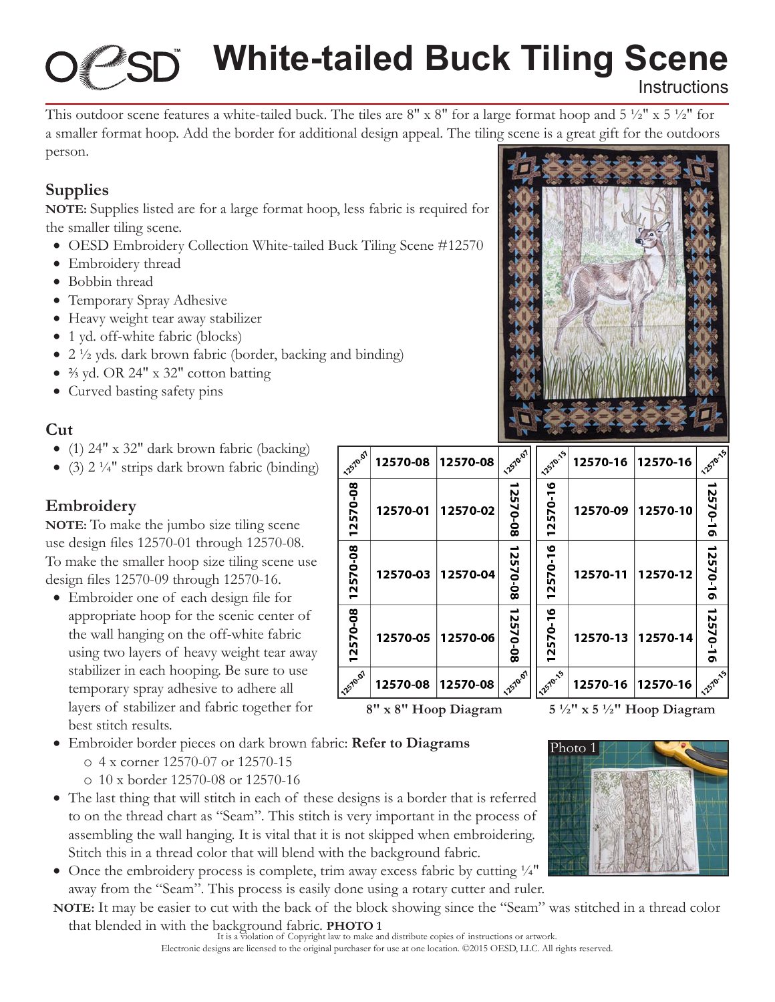# **White-tailed Buck Tiling Scene Instructions**

This outdoor scene features a white-tailed buck. The tiles are  $8'' \times 8''$  for a large format hoop and  $5\frac{1}{2}'' \times 5\frac{1}{2}''$  for a smaller format hoop. Add the border for additional design appeal. The tiling scene is a great gift for the outdoors person.

12570.07

12570-08 12570-08 12570-08

12570.07

12570-08

12570-01

12570-03

12570-05

12570-08

# **Supplies**

**NOTE:** Supplies listed are for a large format hoop, less fabric is required for the smaller tiling scene.

- OESD Embroidery Collection White-tailed Buck Tiling Scene #12570
- Embroidery thread
- Bobbin thread
- Temporary Spray Adhesive
- Heavy weight tear away stabilizer
- 1 yd. off-white fabric (blocks)
- $\bullet$  2  $\frac{1}{2}$  yds. dark brown fabric (border, backing and binding)
- $\frac{2}{3}$  yd. OR 24" x 32" cotton batting
- Curved basting safety pins

# **Cut**

- (1) 24" x 32" dark brown fabric (backing)
- (3)  $2 \frac{1}{4}$ " strips dark brown fabric (binding)

# **Embroidery**

**NOTE:** To make the jumbo size tiling scene use design files 12570-01 through 12570-08. To make the smaller hoop size tiling scene use design files 12570-09 through 12570-16.

- Embroider one of each design file for appropriate hoop for the scenic center of the wall hanging on the off-white fabric using two layers of heavy weight tear away stabilizer in each hooping. Be sure to use temporary spray adhesive to adhere all layers of stabilizer and fabric together for best stitch results.
- • Embroider border pieces on dark brown fabric: **Refer to Diagrams**
	- o 4 x corner 12570-07 or 12570-15
	- o 10 x border 12570-08 or 12570-16
- The last thing that will stitch in each of these designs is a border that is referred to on the thread chart as "Seam". This stitch is very important in the process of assembling the wall hanging. It is vital that it is not skipped when embroidering. Stitch this in a thread color that will blend with the background fabric.
- Once the embroidery process is complete, trim away excess fabric by cutting  $\frac{1}{4}$ " away from the "Seam". This process is easily done using a rotary cutter and ruler.

**NOTE:** It may be easier to cut with the back of the block showing since the "Seam" was stitched in a thread color that blended in with the background fabric. **PHOTO 1**

# 12570-1 12570-16 12570-16

12570-13

**8" x 8" Hoop Diagram 5 ½" x 5 ½" Hoop Diagram**

12570-1

2570-16

12570-16

12570-16

12570-15

12570-16

12570-10

12570-12

12570-14





12570-16

12570-09

12570-11

12570.07

2570-08

12570-08

12570-08

12570-08

12570-02

12570-04

12570-06

12570-08

12570

12570-16

12570-16

 $\overline{9}$